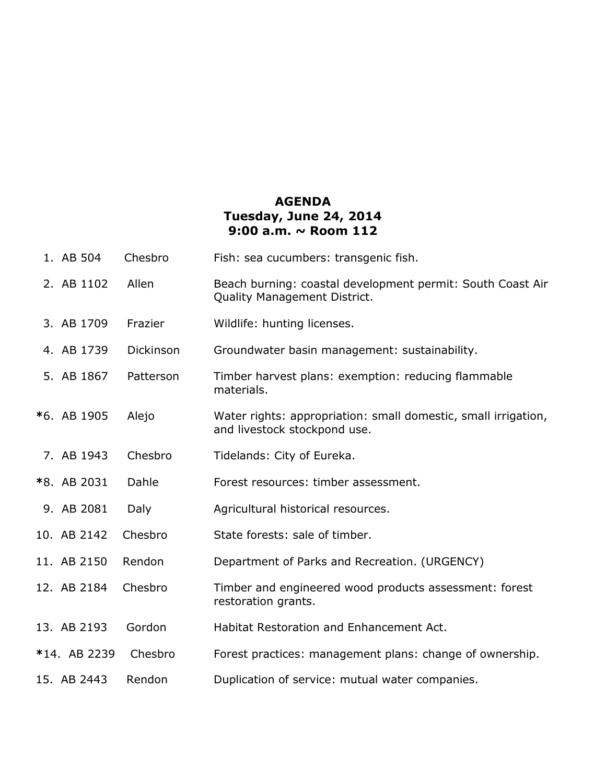## **AGENDA Tuesday, June 24, 2014 9:00 a.m. ~ Room 112**

| 1. AB 504    | Chesbro   | Fish: sea cucumbers: transgenic fish.                                                             |
|--------------|-----------|---------------------------------------------------------------------------------------------------|
| 2. AB 1102   | Allen     | Beach burning: coastal development permit: South Coast Air<br><b>Quality Management District.</b> |
| 3. AB 1709   | Frazier   | Wildlife: hunting licenses.                                                                       |
| 4. AB 1739   | Dickinson | Groundwater basin management: sustainability.                                                     |
| 5. AB 1867   | Patterson | Timber harvest plans: exemption: reducing flammable<br>materials.                                 |
| *6. AB 1905  | Alejo     | Water rights: appropriation: small domestic, small irrigation,<br>and livestock stockpond use.    |
| 7. AB 1943   | Chesbro   | Tidelands: City of Eureka.                                                                        |
| *8. AB 2031  | Dahle     | Forest resources: timber assessment.                                                              |
| 9. AB 2081   | Daly      | Agricultural historical resources.                                                                |
| 10. AB 2142  | Chesbro   | State forests: sale of timber.                                                                    |
| 11. AB 2150  | Rendon    | Department of Parks and Recreation. (URGENCY)                                                     |
| 12. AB 2184  | Chesbro   | Timber and engineered wood products assessment: forest<br>restoration grants.                     |
| 13. AB 2193  | Gordon    | Habitat Restoration and Enhancement Act.                                                          |
| *14. AB 2239 | Chesbro   | Forest practices: management plans: change of ownership.                                          |
| 15. AB 2443  | Rendon    | Duplication of service: mutual water companies.                                                   |